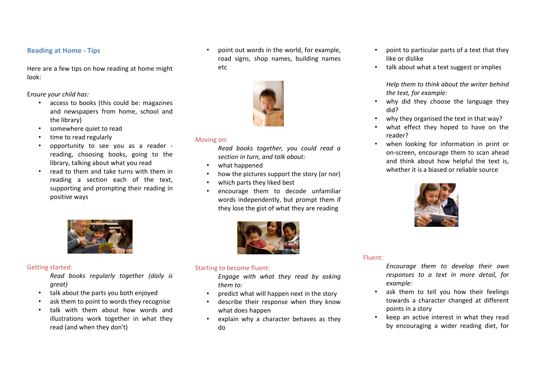### **Reading at Home - Tips**

Here are a few tips on how reading at home might look:

E*nsure your child has:*

- access to books (this could be: magazines and newspapers from home, school and the library)
- somewhere quiet to read
- time to read regularly
- opportunity to see you as a reader reading, choosing books, going to the library, talking about what you read
- read to them and take turns with them in reading a section each of the text, supporting and prompting their reading in positive ways





#### Moving on:

*Read books together, you could read a section in turn, and talk about:*

- what happened
- how the pictures support the story (or nor)
- which parts they liked best
- encourage them to decode unfamiliar words independently, but prompt them if they lose the gist of what they are reading



#### Getting started:

*Read books regularly together (daily is great)*

- talk about the parts you both enjoyed
- ask them to point to words they recognise
- talk with them about how words and illustrations work together in what they read (and when they don't)



## Starting to become fluent:

*Engage with what they read by asking them to:*

- predict what will happen next in the story
- describe their response when they know what does happen
- explain why a character behaves as they do
- point to particular parts of a text that they like or dislike
- talk about what a text suggest or implies

*Help them to think about the writer behind the text, for example:*

- why did they choose the language they did?
- why they organised the text in that way?
- what effect they hoped to have on the reader?
- when looking for information in print or on-screen, encourage them to scan ahead and think about how helpful the text is, whether it is a biased or reliable source



#### Fluent:

- *Encourage them to develop their own responses to a text in more detail, for example:*
- ask them to tell you how their feelings towards a character changed at different points in a story
- keep an active interest in what they read by encouraging a wider reading diet, for